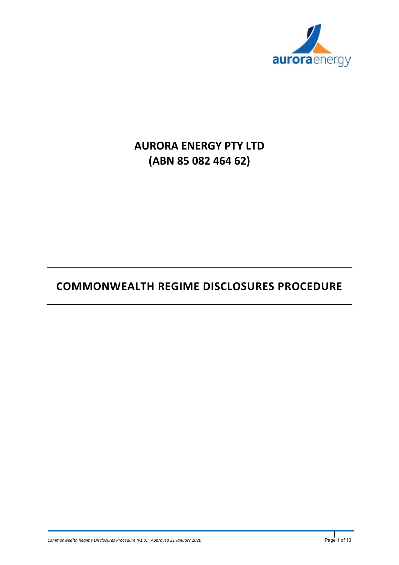

# **AURORA ENERGY PTY LTD (ABN 85 082 464 62)**

# **COMMONWEALTH REGIME DISCLOSURES PROCEDURE**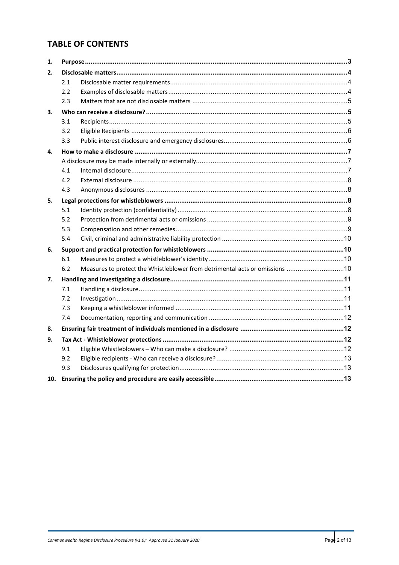## **TABLE OF CONTENTS**

| 1. |               |                                                                             |  |
|----|---------------|-----------------------------------------------------------------------------|--|
| 2. |               |                                                                             |  |
|    | 2.1           |                                                                             |  |
|    | $2.2^{\circ}$ |                                                                             |  |
|    | 2.3           |                                                                             |  |
| 3. |               |                                                                             |  |
|    | 3.1           |                                                                             |  |
|    | 3.2           |                                                                             |  |
|    | 3.3           |                                                                             |  |
| 4. |               |                                                                             |  |
|    |               |                                                                             |  |
|    | 4.1           |                                                                             |  |
|    | 4.2           |                                                                             |  |
|    | 4.3           |                                                                             |  |
| 5. |               |                                                                             |  |
|    | 5.1           |                                                                             |  |
|    | 5.2           |                                                                             |  |
|    | 5.3           |                                                                             |  |
|    | 5.4           |                                                                             |  |
| 6. |               |                                                                             |  |
|    | 6.1           |                                                                             |  |
|    | 6.2           | Measures to protect the Whistleblower from detrimental acts or omissions 10 |  |
| 7. |               |                                                                             |  |
|    | 7.1           |                                                                             |  |
|    | 7.2           |                                                                             |  |
|    | 7.3           |                                                                             |  |
|    | 7.4           |                                                                             |  |
| 8. |               |                                                                             |  |
| 9. |               |                                                                             |  |
|    | 9.1           |                                                                             |  |
|    | 9.2           |                                                                             |  |
|    | 9.3           |                                                                             |  |
|    |               |                                                                             |  |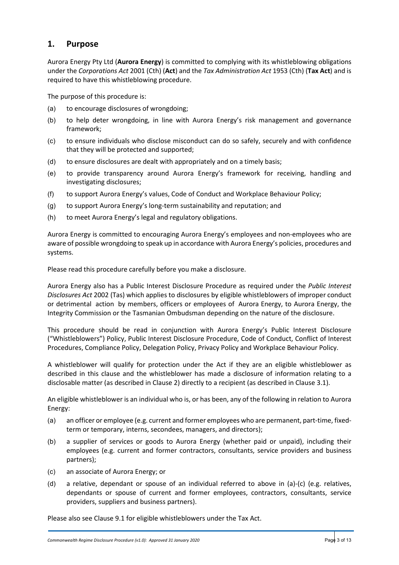## **1. Purpose**

Aurora Energy Pty Ltd (**Aurora Energy**) is committed to complying with its whistleblowing obligations under the *Corporations Act* 2001 (Cth) (**Act**) and the *Tax Administration Act* 1953 (Cth) (**Tax Act**) and is required to have this whistleblowing procedure.

The purpose of this procedure is:

- (a) to encourage disclosures of wrongdoing;
- (b) to help deter wrongdoing, in line with Aurora Energy's risk management and governance framework;
- (c) to ensure individuals who disclose misconduct can do so safely, securely and with confidence that they will be protected and supported;
- (d) to ensure disclosures are dealt with appropriately and on a timely basis;
- (e) to provide transparency around Aurora Energy's framework for receiving, handling and investigating disclosures;
- (f) to support Aurora Energy's values, Code of Conduct and Workplace Behaviour Policy;
- (g) to support Aurora Energy's long-term sustainability and reputation; and
- (h) to meet Aurora Energy's legal and regulatory obligations.

Aurora Energy is committed to encouraging Aurora Energy's employees and non-employees who are aware of possible wrongdoing to speak up in accordance with Aurora Energy's policies, procedures and systems.

Please read this procedure carefully before you make a disclosure.

Aurora Energy also has a Public Interest Disclosure Procedure as required under the *Public Interest Disclosures Act* 2002 (Tas) which applies to disclosures by eligible whistleblowers of improper conduct or detrimental action by members, officers or employees of Aurora Energy, to Aurora Energy, the Integrity Commission or the Tasmanian Ombudsman depending on the nature of the disclosure.

This procedure should be read in conjunction with Aurora Energy's Public Interest Disclosure ("Whistleblowers") Policy, Public Interest Disclosure Procedure, Code of Conduct, Conflict of Interest Procedures, Compliance Policy, Delegation Policy, Privacy Policy and Workplace Behaviour Policy.

A whistleblower will qualify for protection under the Act if they are an eligible whistleblower as described in this clause and the whistleblower has made a disclosure of information relating to a disclosable matter (as described in Claus[e 2\)](#page-3-0) directly to a recipient (as described in Claus[e 3.1\)](#page-4-0).

An eligible whistleblower is an individual who is, or has been, any of the following in relation to Aurora Energy:

- (a) an officer or employee (e.g. current and former employees who are permanent, part-time, fixedterm or temporary, interns, secondees, managers, and directors);
- (b) a supplier of services or goods to Aurora Energy (whether paid or unpaid), including their employees (e.g. current and former contractors, consultants, service providers and business partners);
- (c) an associate of Aurora Energy; or
- (d) a relative, dependant or spouse of an individual referred to above in (a)-(c) (e.g. relatives, dependants or spouse of current and former employees, contractors, consultants, service providers, suppliers and business partners).

Please also see Clause [9.1](#page-11-0) for eligible whistleblowers under the Tax Act.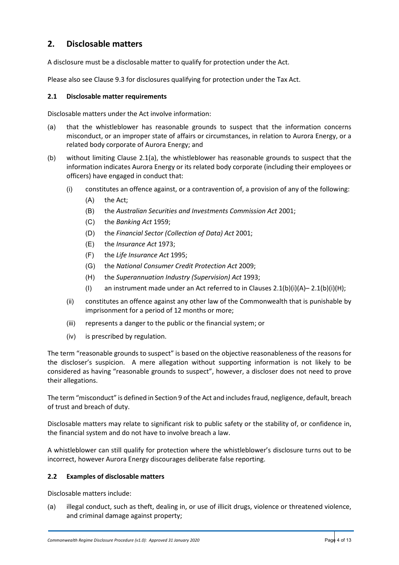## <span id="page-3-0"></span>**2. Disclosable matters**

A disclosure must be a disclosable matter to qualify for protection under the Act.

Please also see Clause [9.3](#page-12-0) for disclosures qualifying for protection under the Tax Act.

#### <span id="page-3-1"></span>**2.1 Disclosable matter requirements**

Disclosable matters under the Act involve information:

- <span id="page-3-2"></span>(a) that the whistleblower has reasonable grounds to suspect that the information concerns misconduct, or an improper state of affairs or circumstances, in relation to Aurora Energy, or a related body corporate of Aurora Energy; and
- <span id="page-3-5"></span><span id="page-3-4"></span><span id="page-3-3"></span>(b) without limiting Clause [2.1](#page-3-1)[\(a\),](#page-3-2) the whistleblower has reasonable grounds to suspect that the information indicates Aurora Energy or its related body corporate (including their employees or officers) have engaged in conduct that:
	- (i) constitutes an offence against, or a contravention of, a provision of any of the following:
		- (A) the Act;
		- (B) the *Australian Securities and Investments Commission Act* 2001;
		- (C) the *Banking Act* 1959;
		- (D) the *Financial Sector (Collection of Data) Act* 2001;
		- (E) the *Insurance Act* 1973;
		- (F) the *Life Insurance Act* 1995;
		- (G) the *National Consumer Credit Protection Act* 2009;
		- (H) the *Superannuation Industry (Supervision) Act* 1993;
		- (I) an instrument made under an Act referred to in Clauses  $2.1(b)(i)(A)-2.1(b)(i)(H);$  $2.1(b)(i)(A)-2.1(b)(i)(H);$  $2.1(b)(i)(A)-2.1(b)(i)(H);$  $2.1(b)(i)(A)-2.1(b)(i)(H);$  $2.1(b)(i)(A)-2.1(b)(i)(H);$  $2.1(b)(i)(A)-2.1(b)(i)(H);$  $2.1(b)(i)(A)-2.1(b)(i)(H);$
	- (ii) constitutes an offence against any other law of the Commonwealth that is punishable by imprisonment for a period of 12 months or more;
	- (iii) represents a danger to the public or the financial system; or
	- (iv) is prescribed by regulation.

<span id="page-3-6"></span>The term "reasonable grounds to suspect" is based on the objective reasonableness of the reasons for the discloser's suspicion. A mere allegation without supporting information is not likely to be considered as having "reasonable grounds to suspect", however, a discloser does not need to prove their allegations.

The term "misconduct" is defined in Section 9 of the Act and includes fraud, negligence, default, breach of trust and breach of duty.

Disclosable matters may relate to significant risk to public safety or the stability of, or confidence in, the financial system and do not have to involve breach a law.

A whistleblower can still qualify for protection where the whistleblower's disclosure turns out to be incorrect, however Aurora Energy discourages deliberate false reporting.

#### **2.2 Examples of disclosable matters**

Disclosable matters include:

(a) illegal conduct, such as theft, dealing in, or use of illicit drugs, violence or threatened violence, and criminal damage against property;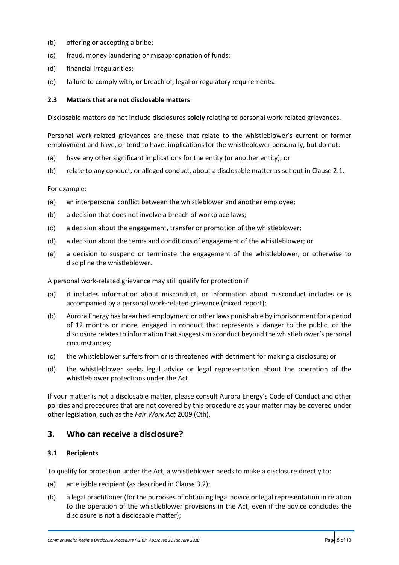- (b) offering or accepting a bribe;
- (c) fraud, money laundering or misappropriation of funds;
- (d) financial irregularities;
- (e) failure to comply with, or breach of, legal or regulatory requirements.

#### **2.3 Matters that are not disclosable matters**

Disclosable matters do not include disclosures **solely** relating to personal work-related grievances.

Personal work-related grievances are those that relate to the whistleblower's current or former employment and have, or tend to have, implications for the whistleblower personally, but do not:

- (a) have any other significant implications for the entity (or another entity); or
- (b) relate to any conduct, or alleged conduct, about a disclosable matter as set out in Clause [2.1.](#page-3-1)

For example:

- (a) an interpersonal conflict between the whistleblower and another employee;
- (b) a decision that does not involve a breach of workplace laws;
- (c) a decision about the engagement, transfer or promotion of the whistleblower;
- (d) a decision about the terms and conditions of engagement of the whistleblower; or
- (e) a decision to suspend or terminate the engagement of the whistleblower, or otherwise to discipline the whistleblower.

A personal work-related grievance may still qualify for protection if:

- (a) it includes information about misconduct, or information about misconduct includes or is accompanied by a personal work-related grievance (mixed report);
- (b) Aurora Energy has breached employment or other laws punishable by imprisonment for a period of 12 months or more, engaged in conduct that represents a danger to the public, or the disclosure relates to information that suggests misconduct beyond the whistleblower's personal circumstances;
- (c) the whistleblower suffers from or is threatened with detriment for making a disclosure; or
- (d) the whistleblower seeks legal advice or legal representation about the operation of the whistleblower protections under the Act.

If your matter is not a disclosable matter, please consult Aurora Energy's Code of Conduct and other policies and procedures that are not covered by this procedure as your matter may be covered under other legislation, such as the *Fair Work Act* 2009 (Cth).

## **3. Who can receive a disclosure?**

#### <span id="page-4-0"></span>**3.1 Recipients**

To qualify for protection under the Act, a whistleblower needs to make a disclosure directly to:

- (a) an eligible recipient (as described in Claus[e 3.2\)](#page-5-0);
- <span id="page-4-1"></span>(b) a legal practitioner (for the purposes of obtaining legal advice or legal representation in relation to the operation of the whistleblower provisions in the Act, even if the advice concludes the disclosure is not a disclosable matter);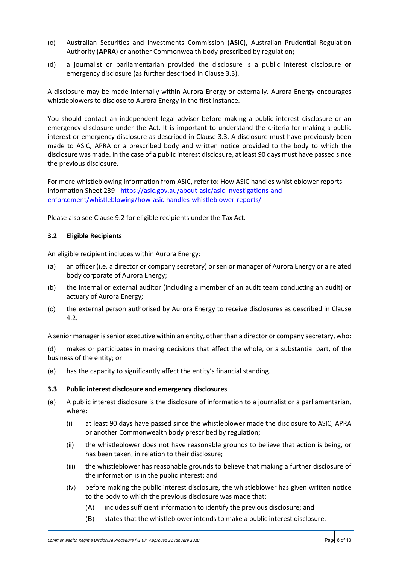- <span id="page-5-2"></span>(c) Australian Securities and Investments Commission (**ASIC**), Australian Prudential Regulation Authority (**APRA**) or another Commonwealth body prescribed by regulation;
- <span id="page-5-3"></span>(d) a journalist or parliamentarian provided the disclosure is a public interest disclosure or emergency disclosure (as further described in Clause [3.3\)](#page-5-1).

A disclosure may be made internally within Aurora Energy or externally. Aurora Energy encourages whistleblowers to disclose to Aurora Energy in the first instance.

You should contact an independent legal adviser before making a public interest disclosure or an emergency disclosure under the Act. It is important to understand the criteria for making a public interest or emergency disclosure as described in Clause [3.3.](#page-5-1) A disclosure must have previously been made to ASIC, APRA or a prescribed body and written notice provided to the body to which the disclosure was made. In the case of a public interest disclosure, at least 90 days must have passed since the previous disclosure.

For more whistleblowing information from ASIC, refer to: How ASIC handles whistleblower reports Information Sheet 239 - [https://asic.gov.au/about-asic/asic-investigations-and](https://asic.gov.au/about-asic/asic-investigations-and-enforcement/whistleblowing/how-asic-handles-whistleblower-reports/)[enforcement/whistleblowing/how-asic-handles-whistleblower-reports/](https://asic.gov.au/about-asic/asic-investigations-and-enforcement/whistleblowing/how-asic-handles-whistleblower-reports/)

Please also see Clause [9.2](#page-12-1) for eligible recipients under the Tax Act.

#### <span id="page-5-0"></span>**3.2 Eligible Recipients**

An eligible recipient includes within Aurora Energy:

- (a) an officer (i.e. a director or company secretary) or senior manager of Aurora Energy or a related body corporate of Aurora Energy;
- (b) the internal or external auditor (including a member of an audit team conducting an audit) or actuary of Aurora Energy;
- (c) the external person authorised by Aurora Energy to receive disclosures as described in Clause [4.2.](#page-7-0)

A senior manager is senior executive within an entity, other than a director or company secretary, who:

(d) makes or participates in making decisions that affect the whole, or a substantial part, of the business of the entity; or

(e) has the capacity to significantly affect the entity's financial standing.

#### <span id="page-5-1"></span>**3.3 Public interest disclosure and emergency disclosures**

- (a) A public interest disclosure is the disclosure of information to a journalist or a parliamentarian, where:
	- (i) at least 90 days have passed since the whistleblower made the disclosure to ASIC, APRA or another Commonwealth body prescribed by regulation;
	- (ii) the whistleblower does not have reasonable grounds to believe that action is being, or has been taken, in relation to their disclosure;
	- (iii) the whistleblower has reasonable grounds to believe that making a further disclosure of the information is in the public interest; and
	- (iv) before making the public interest disclosure, the whistleblower has given written notice to the body to which the previous disclosure was made that:
		- (A) includes sufficient information to identify the previous disclosure; and
		- (B) states that the whistleblower intends to make a public interest disclosure.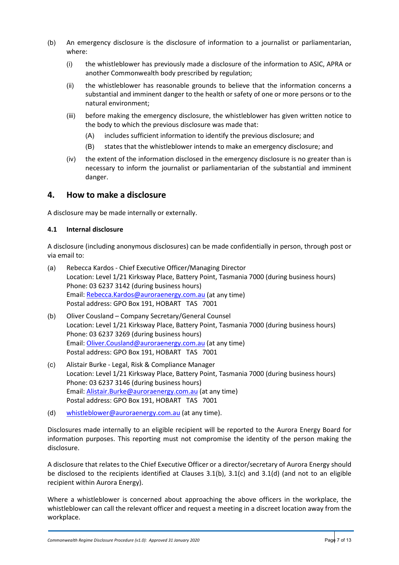- (b) An emergency disclosure is the disclosure of information to a journalist or parliamentarian, where:
	- (i) the whistleblower has previously made a disclosure of the information to ASIC, APRA or another Commonwealth body prescribed by regulation;
	- (ii) the whistleblower has reasonable grounds to believe that the information concerns a substantial and imminent danger to the health or safety of one or more persons or to the natural environment;
	- (iii) before making the emergency disclosure, the whistleblower has given written notice to the body to which the previous disclosure was made that:
		- (A) includes sufficient information to identify the previous disclosure; and
		- (B) states that the whistleblower intends to make an emergency disclosure; and
	- (iv) the extent of the information disclosed in the emergency disclosure is no greater than is necessary to inform the journalist or parliamentarian of the substantial and imminent danger.

### **4. How to make a disclosure**

A disclosure may be made internally or externally.

#### **4.1 Internal disclosure**

A disclosure (including anonymous disclosures) can be made confidentially in person, through post or via email to:

- (a) Rebecca Kardos Chief Executive Officer/Managing Director Location: Level 1/21 Kirksway Place, Battery Point, Tasmania 7000 (during business hours) Phone: 03 6237 3142 (during business hours) Email: [Rebecca.Kardos@auroraenergy.com.au](mailto:Rebecca.Kardos@auroraenergy.com.au) (at any time) Postal address: GPO Box 191, HOBART TAS 7001
- (b) Oliver Cousland Company Secretary/General Counsel Location: Level 1/21 Kirksway Place, Battery Point, Tasmania 7000 (during business hours) Phone: 03 6237 3269 (during business hours) Email: [Oliver.Cousland@auroraenergy.com.au](mailto:Oliver.Cousland@auroraenergy.com.au) (at any time) Postal address: GPO Box 191, HOBART TAS 7001
- (c) Alistair Burke Legal, Risk & Compliance Manager Location: Level 1/21 Kirksway Place, Battery Point, Tasmania 7000 (during business hours) Phone: 03 6237 3146 (during business hours) Email: [Alistair.Burke@auroraenergy.com.au](mailto:Alistair.Burke@auroraenergy.com.au) (at any time) Postal address: GPO Box 191, HOBART TAS 7001
- (d) [whistleblower@auroraenergy.com.au](mailto:whistleblower@auroraenergy.com.au) (at any time).

Disclosures made internally to an eligible recipient will be reported to the Aurora Energy Board for information purposes. This reporting must not compromise the identity of the person making the disclosure.

A disclosure that relates to the Chief Executive Officer or a director/secretary of Aurora Energy should be disclosed to the recipients identified at Clauses [3.1\(b\),](#page-4-1) [3.1\(c\)](#page-5-2) and [3.1\(d\)](#page-5-3) (and not to an eligible recipient within Aurora Energy).

Where a whistleblower is concerned about approaching the above officers in the workplace, the whistleblower can call the relevant officer and request a meeting in a discreet location away from the workplace.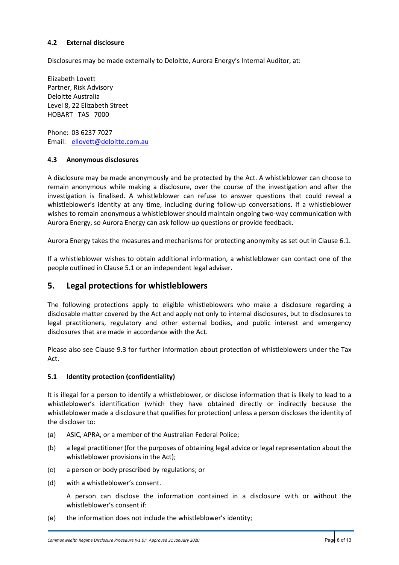#### <span id="page-7-0"></span>**4.2 External disclosure**

Disclosures may be made externally to Deloitte, Aurora Energy's Internal Auditor, at:

Elizabeth Lovett Partner, Risk Advisory Deloitte Australia Level 8, 22 Elizabeth Street HOBART TAS 7000

Phone: 03 6237 7027 Email: [ellovett@deloitte.com.au](mailto:ellovett@deloitte.com.au)

#### **4.3 Anonymous disclosures**

A disclosure may be made anonymously and be protected by the Act. A whistleblower can choose to remain anonymous while making a disclosure, over the course of the investigation and after the investigation is finalised. A whistleblower can refuse to answer questions that could reveal a whistleblower's identity at any time, including during follow-up conversations. If a whistleblower wishes to remain anonymous a whistleblower should maintain ongoing two-way communication with Aurora Energy, so Aurora Energy can ask follow-up questions or provide feedback.

Aurora Energy takes the measures and mechanisms for protecting anonymity as set out in Clause [6.1.](#page-9-0)

If a whistleblower wishes to obtain additional information, a whistleblower can contact one of the people outlined in Clause 5.1 or an independent legal adviser.

## **5. Legal protections for whistleblowers**

The following protections apply to eligible whistleblowers who make a disclosure regarding a disclosable matter covered by the Act and apply not only to internal disclosures, but to disclosures to legal practitioners, regulatory and other external bodies, and public interest and emergency disclosures that are made in accordance with the Act.

Please also see Clause [9.3](#page-12-0) for further information about protection of whistleblowers under the Tax Act.

#### **5.1 Identity protection (confidentiality)**

It is illegal for a person to identify a whistleblower, or disclose information that is likely to lead to a whistleblower's identification (which they have obtained directly or indirectly because the whistleblower made a disclosure that qualifies for protection) unless a person discloses the identity of the discloser to:

- (a) ASIC, APRA, or a member of the Australian Federal Police;
- (b) a legal practitioner (for the purposes of obtaining legal advice or legal representation about the whistleblower provisions in the Act);
- (c) a person or body prescribed by regulations; or
- (d) with a whistleblower's consent.

A person can disclose the information contained in a disclosure with or without the whistleblower's consent if:

(e) the information does not include the whistleblower's identity;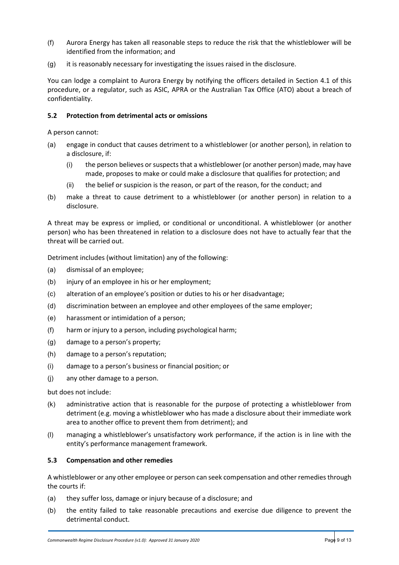- (f) Aurora Energy has taken all reasonable steps to reduce the risk that the whistleblower will be identified from the information; and
- (g) it is reasonably necessary for investigating the issues raised in the disclosure.

You can lodge a complaint to Aurora Energy by notifying the officers detailed in Section 4.1 of this procedure, or a regulator, such as ASIC, APRA or the Australian Tax Office (ATO) about a breach of confidentiality.

#### **5.2 Protection from detrimental acts or omissions**

A person cannot:

- (a) engage in conduct that causes detriment to a whistleblower (or another person), in relation to a disclosure, if:
	- (i) the person believes or suspects that a whistleblower (or another person) made, may have made, proposes to make or could make a disclosure that qualifies for protection; and
	- (ii) the belief or suspicion is the reason, or part of the reason, for the conduct; and
- (b) make a threat to cause detriment to a whistleblower (or another person) in relation to a disclosure.

A threat may be express or implied, or conditional or unconditional. A whistleblower (or another person) who has been threatened in relation to a disclosure does not have to actually fear that the threat will be carried out.

Detriment includes (without limitation) any of the following:

- (a) dismissal of an employee;
- (b) injury of an employee in his or her employment;
- (c) alteration of an employee's position or duties to his or her disadvantage;
- (d) discrimination between an employee and other employees of the same employer;
- (e) harassment or intimidation of a person;
- (f) harm or injury to a person, including psychological harm;
- (g) damage to a person's property;
- (h) damage to a person's reputation;
- (i) damage to a person's business or financial position; or
- (j) any other damage to a person.

but does not include:

- (k) administrative action that is reasonable for the purpose of protecting a whistleblower from detriment (e.g. moving a whistleblower who has made a disclosure about their immediate work area to another office to prevent them from detriment); and
- (l) managing a whistleblower's unsatisfactory work performance, if the action is in line with the entity's performance management framework.

#### **5.3 Compensation and other remedies**

A whistleblower or any other employee or person can seek compensation and other remedies through the courts if:

- (a) they suffer loss, damage or injury because of a disclosure; and
- (b) the entity failed to take reasonable precautions and exercise due diligence to prevent the detrimental conduct.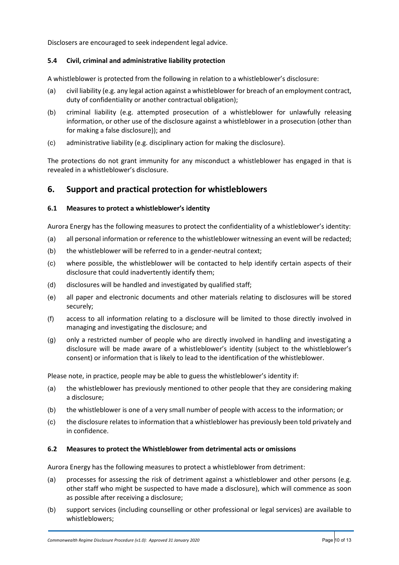Disclosers are encouraged to seek independent legal advice.

#### **5.4 Civil, criminal and administrative liability protection**

A whistleblower is protected from the following in relation to a whistleblower's disclosure:

- (a) civil liability (e.g. any legal action against a whistleblower for breach of an employment contract, duty of confidentiality or another contractual obligation);
- (b) criminal liability (e.g. attempted prosecution of a whistleblower for unlawfully releasing information, or other use of the disclosure against a whistleblower in a prosecution (other than for making a false disclosure)); and
- (c) administrative liability (e.g. disciplinary action for making the disclosure).

The protections do not grant immunity for any misconduct a whistleblower has engaged in that is revealed in a whistleblower's disclosure.

## **6. Support and practical protection for whistleblowers**

#### <span id="page-9-0"></span>**6.1 Measures to protect a whistleblower's identity**

Aurora Energy has the following measures to protect the confidentiality of a whistleblower's identity:

- (a) all personal information or reference to the whistleblower witnessing an event will be redacted;
- (b) the whistleblower will be referred to in a gender-neutral context;
- (c) where possible, the whistleblower will be contacted to help identify certain aspects of their disclosure that could inadvertently identify them;
- (d) disclosures will be handled and investigated by qualified staff;
- (e) all paper and electronic documents and other materials relating to disclosures will be stored securely;
- (f) access to all information relating to a disclosure will be limited to those directly involved in managing and investigating the disclosure; and
- (g) only a restricted number of people who are directly involved in handling and investigating a disclosure will be made aware of a whistleblower's identity (subject to the whistleblower's consent) or information that is likely to lead to the identification of the whistleblower.

Please note, in practice, people may be able to guess the whistleblower's identity if:

- (a) the whistleblower has previously mentioned to other people that they are considering making a disclosure;
- (b) the whistleblower is one of a very small number of people with access to the information; or
- (c) the disclosure relates to information that a whistleblower has previously been told privately and in confidence.

#### **6.2 Measures to protect the Whistleblower from detrimental acts or omissions**

Aurora Energy has the following measures to protect a whistleblower from detriment:

- (a) processes for assessing the risk of detriment against a whistleblower and other persons (e.g. other staff who might be suspected to have made a disclosure), which will commence as soon as possible after receiving a disclosure;
- (b) support services (including counselling or other professional or legal services) are available to whistleblowers;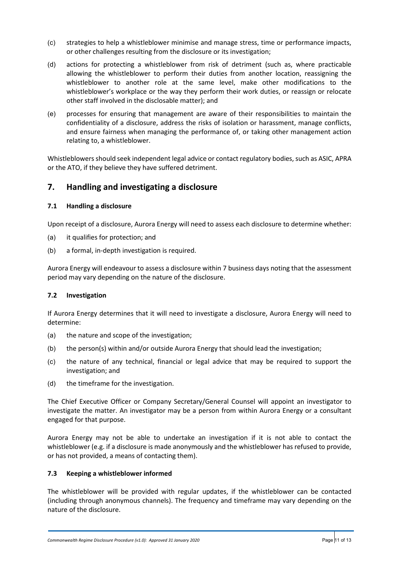- (c) strategies to help a whistleblower minimise and manage stress, time or performance impacts, or other challenges resulting from the disclosure or its investigation;
- (d) actions for protecting a whistleblower from risk of detriment (such as, where practicable allowing the whistleblower to perform their duties from another location, reassigning the whistleblower to another role at the same level, make other modifications to the whistleblower's workplace or the way they perform their work duties, or reassign or relocate other staff involved in the disclosable matter); and
- (e) processes for ensuring that management are aware of their responsibilities to maintain the confidentiality of a disclosure, address the risks of isolation or harassment, manage conflicts, and ensure fairness when managing the performance of, or taking other management action relating to, a whistleblower.

Whistleblowers should seek independent legal advice or contact regulatory bodies, such as ASIC, APRA or the ATO, if they believe they have suffered detriment.

## **7. Handling and investigating a disclosure**

#### **7.1 Handling a disclosure**

Upon receipt of a disclosure, Aurora Energy will need to assess each disclosure to determine whether:

- (a) it qualifies for protection; and
- (b) a formal, in-depth investigation is required.

Aurora Energy will endeavour to assess a disclosure within 7 business days noting that the assessment period may vary depending on the nature of the disclosure.

#### **7.2 Investigation**

If Aurora Energy determines that it will need to investigate a disclosure, Aurora Energy will need to determine:

- (a) the nature and scope of the investigation;
- (b) the person(s) within and/or outside Aurora Energy that should lead the investigation;
- (c) the nature of any technical, financial or legal advice that may be required to support the investigation; and
- (d) the timeframe for the investigation.

The Chief Executive Officer or Company Secretary/General Counsel will appoint an investigator to investigate the matter. An investigator may be a person from within Aurora Energy or a consultant engaged for that purpose.

Aurora Energy may not be able to undertake an investigation if it is not able to contact the whistleblower (e.g. if a disclosure is made anonymously and the whistleblower has refused to provide, or has not provided, a means of contacting them).

#### **7.3 Keeping a whistleblower informed**

The whistleblower will be provided with regular updates, if the whistleblower can be contacted (including through anonymous channels). The frequency and timeframe may vary depending on the nature of the disclosure.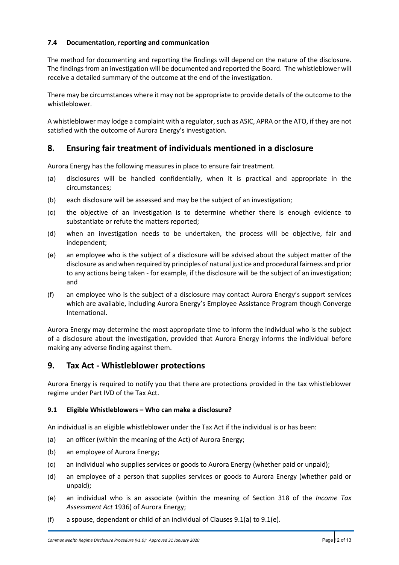#### **7.4 Documentation, reporting and communication**

The method for documenting and reporting the findings will depend on the nature of the disclosure. The findings from an investigation will be documented and reported the Board. The whistleblower will receive a detailed summary of the outcome at the end of the investigation.

There may be circumstances where it may not be appropriate to provide details of the outcome to the whistleblower.

A whistleblower may lodge a complaint with a regulator, such as ASIC, APRA or the ATO, if they are not satisfied with the outcome of Aurora Energy's investigation.

## **8. Ensuring fair treatment of individuals mentioned in a disclosure**

Aurora Energy has the following measures in place to ensure fair treatment.

- (a) disclosures will be handled confidentially, when it is practical and appropriate in the circumstances;
- (b) each disclosure will be assessed and may be the subject of an investigation;
- (c) the objective of an investigation is to determine whether there is enough evidence to substantiate or refute the matters reported;
- (d) when an investigation needs to be undertaken, the process will be objective, fair and independent;
- (e) an employee who is the subject of a disclosure will be advised about the subject matter of the disclosure as and when required by principles of natural justice and procedural fairness and prior to any actions being taken - for example, if the disclosure will be the subject of an investigation; and
- (f) an employee who is the subject of a disclosure may contact Aurora Energy's support services which are available, including Aurora Energy's Employee Assistance Program though Converge International.

Aurora Energy may determine the most appropriate time to inform the individual who is the subject of a disclosure about the investigation, provided that Aurora Energy informs the individual before making any adverse finding against them.

## **9. Tax Act - Whistleblower protections**

Aurora Energy is required to notify you that there are protections provided in the tax whistleblower regime under Part IVD of the Tax Act.

#### <span id="page-11-0"></span>**9.1 Eligible Whistleblowers – Who can make a disclosure?**

An individual is an eligible whistleblower under the Tax Act if the individual is or has been:

- <span id="page-11-1"></span>(a) an officer (within the meaning of the Act) of Aurora Energy;
- (b) an employee of Aurora Energy;
- (c) an individual who supplies services or goods to Aurora Energy (whether paid or unpaid);
- (d) an employee of a person that supplies services or goods to Aurora Energy (whether paid or unpaid);
- <span id="page-11-2"></span>(e) an individual who is an associate (within the meaning of Section 318 of the *Income Tax Assessment Act* 1936) of Aurora Energy;
- (f) a spouse, dependant or child of an individual of Clauses  $9.1(a)$  $9.1(a)$  to  $9.1(e)$ .